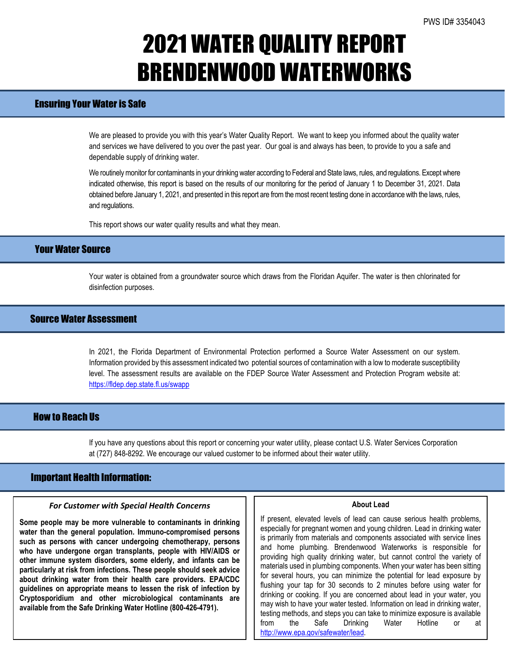## 2021 WATER QUALITY REPORT BRENDENWOOD WATERWORKS

## Ensuring Your Water is Safe

We are pleased to provide you with this year's Water Quality Report. We want to keep you informed about the quality water and services we have delivered to you over the past year. Our goal is and always has been, to provide to you a safe and dependable supply of drinking water.

We routinely monitor for contaminants in your drinking water according to Federal and State laws, rules, and regulations. Except where indicated otherwise, this report is based on the results of our monitoring for the period of January 1 to December 31, 2021. Data obtained before January 1, 2021, and presented in this report are from the most recent testing done in accordance with the laws, rules, and regulations.

This report shows our water quality results and what they mean.

## Your Water Source

Your water is obtained from a groundwater source which draws from the Floridan Aquifer. The water is then chlorinated for disinfection purposes.

## Source Water Assessment

In 2021, the Florida Department of Environmental Protection performed a Source Water Assessment on our system. Information provided by this assessment indicated two potential sources of contamination with a low tomoderate susceptibility level. The assessment results are available on the FDEP Source Water Assessment and Protection Program website at: <https://fldep.dep.state.fl.us/swapp>

### How to Reach Us

If you have any questions about this report or concerning your water utility, please contact U.S. Water Services Corporation at (727) 848-8292. We encourage our valued customer to be informed about their water utility.

### Important Health Information:

l

#### *For Customer with Special Health Concerns*

**Some people may be more vulnerable to contaminants in drinking water than the general population. Immuno-compromised persons such as persons with cancer undergoing chemotherapy, persons who have undergone organ transplants, people with HIV/AIDS or other immune system disorders, some elderly, and infants can be particularly at risk from infections. These people should seek advice about drinking water from their health care providers. EPA/CDC guidelines on appropriate means to lessen the risk of infection by Cryptosporidium and other microbiological contaminants are available from the Safe Drinking Water Hotline (800-426-4791).**

#### **About Lead**

If present, elevated levels of lead can cause serious health problems, especially for pregnant women and young children. Lead in drinking water is primarily from materials and components associated with service lines and home plumbing. Brendenwood Waterworks is responsible for providing high quality drinking water, but cannot control the variety of materials used in plumbing components. When your water has been sitting for several hours, you can minimize the potential for lead exposure by flushing your tap for 30 seconds to 2 minutes before using water for drinking or cooking. If you are concerned about lead in your water, you may wish to have your water tested. Information on lead in drinking water, testing methods, and steps you can take to minimize exposure is available from the Safe Drinking Water Hotline or at [http://www.epa.gov/safewater/lead.](http://www.epa.gov/safewater/lead)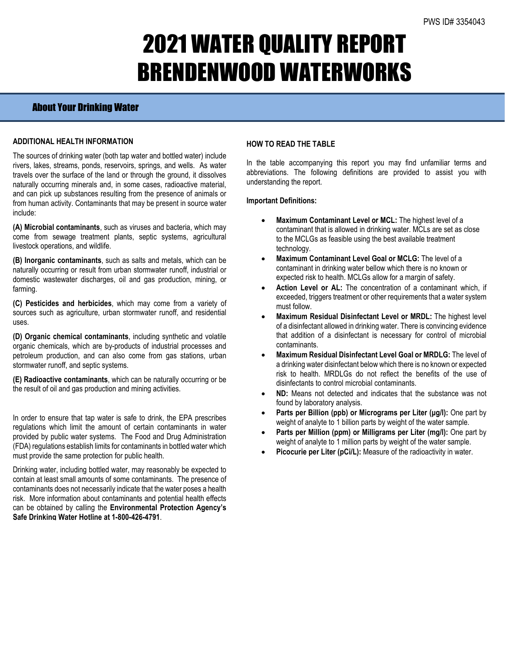# 2021 WATER QUALITY REPORT BRENDENWOOD WATERWORKS

## About Your Drinking Water

### **ADDITIONAL HEALTH INFORMATION**

The sources of drinking water (both tap water and bottled water) include rivers, lakes, streams, ponds, reservoirs, springs, and wells. As water travels over the surface of the land or through the ground, it dissolves naturally occurring minerals and, in some cases, radioactive material, and can pick up substances resulting from the presence of animals or from human activity. Contaminants that may be present in source water include:

**(A) Microbial contaminants**, such as viruses and bacteria, which may come from sewage treatment plants, septic systems, agricultural livestock operations, and wildlife.

**(B) Inorganic contaminants**, such as salts and metals, which can be naturally occurring or result from urban stormwater runoff, industrial or domestic wastewater discharges, oil and gas production, mining, or farming.

**(C) Pesticides and herbicides**, which may come from a variety of sources such as agriculture, urban stormwater runoff, and residential uses.

**(D) Organic chemical contaminants**, including synthetic and volatile organic chemicals, which are by-products of industrial processes and petroleum production, and can also come from gas stations, urban stormwater runoff, and septic systems.

**(E) Radioactive contaminants**, which can be naturally occurring or be the result of oil and gas production and mining activities.

In order to ensure that tap water is safe to drink, the EPA prescribes regulations which limit the amount of certain contaminants in water provided by public water systems. The Food and Drug Administration (FDA) regulations establish limits for contaminants in bottled water which must provide the same protection for public health.

Drinking water, including bottled water, may reasonably be expected to contain at least small amounts of some contaminants. The presence of contaminants does not necessarily indicate that the water poses a health risk. More information about contaminants and potential health effects can be obtained by calling the **Environmental Protection Agency's Safe Drinking Water Hotline at 1-800-426-4791**.

### **HOW TO READ THE TABLE**

In the table accompanying this report you may find unfamiliar terms and abbreviations. The following definitions are provided to assist you with understanding the report.

### **Important Definitions:**

- **Maximum Contaminant Level or MCL:** The highest level of a contaminant that is allowed in drinking water. MCLs are set as close to the MCLGs as feasible using the best available treatment technology.
- **Maximum Contaminant Level Goal or MCLG:** The level of a contaminant in drinking water bellow which there is no known or expected risk to health. MCLGs allow for a margin of safety.
- Action Level or AL: The concentration of a contaminant which, if exceeded, triggers treatment or other requirements that a water system must follow.
- **Maximum Residual Disinfectant Level or MRDL:** The highest level of a disinfectant allowed in drinking water. There is convincing evidence that addition of a disinfectant is necessary for control of microbial contaminants.
- **Maximum Residual Disinfectant Level Goal or MRDLG:** The level of a drinking water disinfectant below which there is no known or expected risk to health. MRDLGs do not reflect the benefits of the use of disinfectants to control microbial contaminants.
- **ND:** Means not detected and indicates that the substance was not found by laboratory analysis.
- **Parts per Billion (ppb) or Micrograms per Liter (μg/l):** One part by weight of analyte to 1 billion parts by weight of the water sample.
- **Parts per Million (ppm) or Milligrams per Liter (mg/l):** One part by weight of analyte to 1 million parts by weight of the water sample.
- **Picocurie per Liter (pCi/L):** Measure of the radioactivity in water.